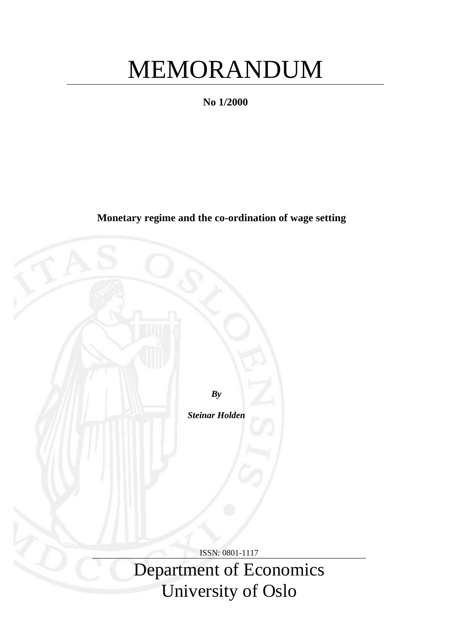# MEMORANDUM

**No 1/2000**

**Monetary regime and the co-ordination of wage setting**

*By*

*Steinar Holden*

ISSN: 0801-1117 Department of Economics University of Oslo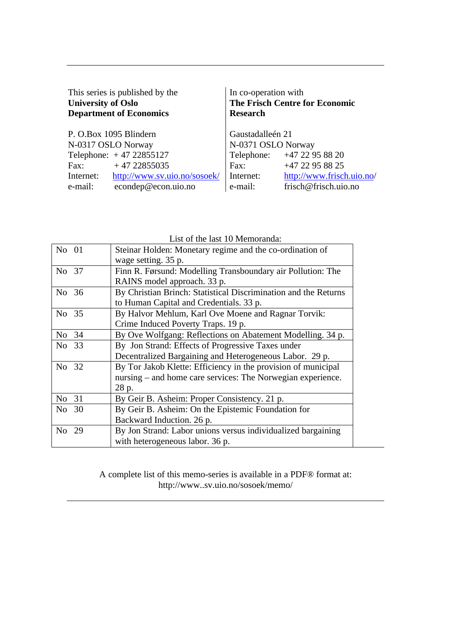| This series is published by the | In co-operation with                  |  |  |  |  |  |
|---------------------------------|---------------------------------------|--|--|--|--|--|
| <b>University of Oslo</b>       | <b>The Frisch Centre for Economic</b> |  |  |  |  |  |
| <b>Department of Economics</b>  | <b>Research</b>                       |  |  |  |  |  |
| P. O.Box 1095 Blindern          | Gaustadalleén 21                      |  |  |  |  |  |
| N-0317 OSLO Norway              | N-0371 OSLO Norway                    |  |  |  |  |  |
| Telephone: $+4722855127$        | Telephone: +47 22 95 88 20            |  |  |  |  |  |
| $+4722855035$                   | +47 22 95 88 25                       |  |  |  |  |  |
| Fax:                            | Fax:                                  |  |  |  |  |  |
| http://www.sv.uio.no/sosoek/    | http://www.frisch.uio.no/             |  |  |  |  |  |
| Internet:                       | Internet:                             |  |  |  |  |  |
| econdep@econ.uio.no             | frisch@frisch.uio.no                  |  |  |  |  |  |
| e-mail:                         | e-mail:                               |  |  |  |  |  |

| List of the fast TO Memoranga.                                  |  |  |  |  |  |  |
|-----------------------------------------------------------------|--|--|--|--|--|--|
| Steinar Holden: Monetary regime and the co-ordination of        |  |  |  |  |  |  |
| wage setting. 35 p.                                             |  |  |  |  |  |  |
| Finn R. Førsund: Modelling Transboundary air Pollution: The     |  |  |  |  |  |  |
| RAINS model approach. 33 p.                                     |  |  |  |  |  |  |
| By Christian Brinch: Statistical Discrimination and the Returns |  |  |  |  |  |  |
| to Human Capital and Credentials. 33 p.                         |  |  |  |  |  |  |
| By Halvor Mehlum, Karl Ove Moene and Ragnar Torvik:             |  |  |  |  |  |  |
| Crime Induced Poverty Traps. 19 p.                              |  |  |  |  |  |  |
| By Ove Wolfgang: Reflections on Abatement Modelling. 34 p.      |  |  |  |  |  |  |
| By Jon Strand: Effects of Progressive Taxes under               |  |  |  |  |  |  |
| Decentralized Bargaining and Heterogeneous Labor. 29 p.         |  |  |  |  |  |  |
| By Tor Jakob Klette: Efficiency in the provision of municipal   |  |  |  |  |  |  |
| nursing – and home care services: The Norwegian experience.     |  |  |  |  |  |  |
| 28 p.                                                           |  |  |  |  |  |  |
| By Geir B. Asheim: Proper Consistency. 21 p.                    |  |  |  |  |  |  |
| By Geir B. Asheim: On the Epistemic Foundation for              |  |  |  |  |  |  |
| Backward Induction. 26 p.                                       |  |  |  |  |  |  |
| By Jon Strand: Labor unions versus individualized bargaining    |  |  |  |  |  |  |
| with heterogeneous labor. 36 p.                                 |  |  |  |  |  |  |
|                                                                 |  |  |  |  |  |  |

List of the last 10 Memoranda:

A complete list of this memo-series is available in a PDF® format at: http://www..sv.uio.no/sosoek/memo/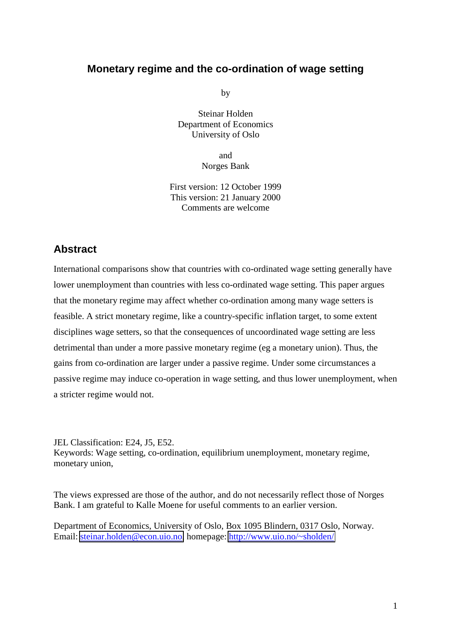# **Monetary regime and the co-ordination of wage setting**

by

Steinar Holden Department of Economics University of Oslo

> and Norges Bank

First version: 12 October 1999 This version: 21 January 2000 Comments are welcome

# **Abstract**

International comparisons show that countries with co-ordinated wage setting generally have lower unemployment than countries with less co-ordinated wage setting. This paper argues that the monetary regime may affect whether co-ordination among many wage setters is feasible. A strict monetary regime, like a country-specific inflation target, to some extent disciplines wage setters, so that the consequences of uncoordinated wage setting are less detrimental than under a more passive monetary regime (eg a monetary union). Thus, the gains from co-ordination are larger under a passive regime. Under some circumstances a passive regime may induce co-operation in wage setting, and thus lower unemployment, when a stricter regime would not.

JEL Classification: E24, J5, E52. Keywords: Wage setting, co-ordination, equilibrium unemployment, monetary regime, monetary union,

The views expressed are those of the author, and do not necessarily reflect those of Norges Bank. I am grateful to Kalle Moene for useful comments to an earlier version.

Department of Economics, University of Oslo, Box 1095 Blindern, 0317 Oslo, Norway. Email: [steinar.holden@econ.uio.no,](mailto:steinar.holden@econ.uio.no) homepage:<http://www.uio.no/~sholden/>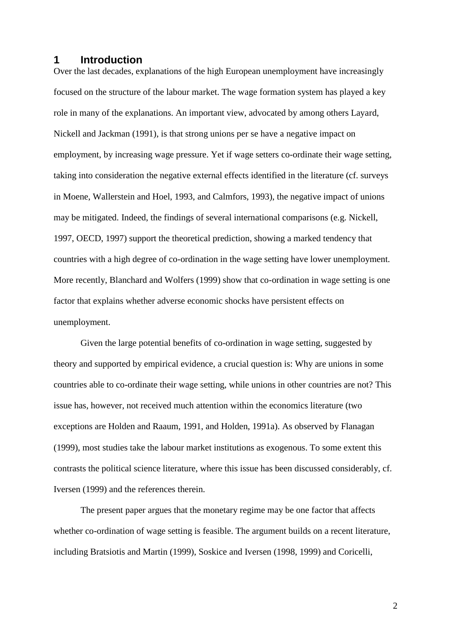## **1 Introduction**

Over the last decades, explanations of the high European unemployment have increasingly focused on the structure of the labour market. The wage formation system has played a key role in many of the explanations. An important view, advocated by among others Layard, Nickell and Jackman (1991), is that strong unions per se have a negative impact on employment, by increasing wage pressure. Yet if wage setters co-ordinate their wage setting, taking into consideration the negative external effects identified in the literature (cf. surveys in Moene, Wallerstein and Hoel, 1993, and Calmfors, 1993), the negative impact of unions may be mitigated. Indeed, the findings of several international comparisons (e.g. Nickell, 1997, OECD, 1997) support the theoretical prediction, showing a marked tendency that countries with a high degree of co-ordination in the wage setting have lower unemployment. More recently, Blanchard and Wolfers (1999) show that co-ordination in wage setting is one factor that explains whether adverse economic shocks have persistent effects on unemployment.

Given the large potential benefits of co-ordination in wage setting, suggested by theory and supported by empirical evidence, a crucial question is: Why are unions in some countries able to co-ordinate their wage setting, while unions in other countries are not? This issue has, however, not received much attention within the economics literature (two exceptions are Holden and Raaum, 1991, and Holden, 1991a). As observed by Flanagan (1999), most studies take the labour market institutions as exogenous. To some extent this contrasts the political science literature, where this issue has been discussed considerably, cf. Iversen (1999) and the references therein.

The present paper argues that the monetary regime may be one factor that affects whether co-ordination of wage setting is feasible. The argument builds on a recent literature, including Bratsiotis and Martin (1999), Soskice and Iversen (1998, 1999) and Coricelli,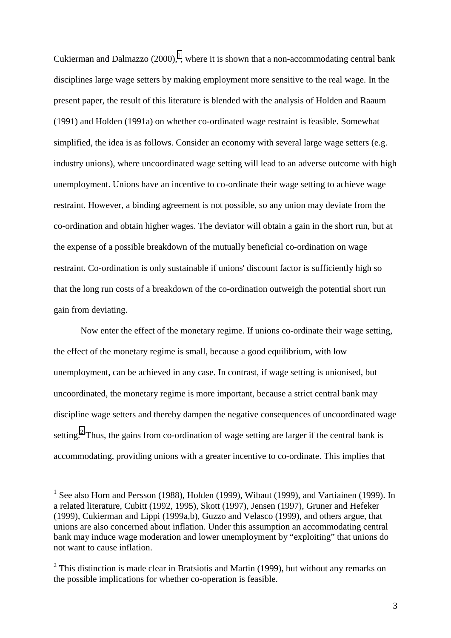Cukierman and Dalmazzo  $(2000)$ ,<sup>1</sup>, where it is shown that a non-accommodating central bank disciplines large wage setters by making employment more sensitive to the real wage. In the present paper, the result of this literature is blended with the analysis of Holden and Raaum (1991) and Holden (1991a) on whether co-ordinated wage restraint is feasible. Somewhat simplified, the idea is as follows. Consider an economy with several large wage setters (e.g. industry unions), where uncoordinated wage setting will lead to an adverse outcome with high unemployment. Unions have an incentive to co-ordinate their wage setting to achieve wage restraint. However, a binding agreement is not possible, so any union may deviate from the co-ordination and obtain higher wages. The deviator will obtain a gain in the short run, but at the expense of a possible breakdown of the mutually beneficial co-ordination on wage restraint. Co-ordination is only sustainable if unions' discount factor is sufficiently high so that the long run costs of a breakdown of the co-ordination outweigh the potential short run gain from deviating.

Now enter the effect of the monetary regime. If unions co-ordinate their wage setting, the effect of the monetary regime is small, because a good equilibrium, with low unemployment, can be achieved in any case. In contrast, if wage setting is unionised, but uncoordinated, the monetary regime is more important, because a strict central bank may discipline wage setters and thereby dampen the negative consequences of uncoordinated wage setting.<sup>2</sup> Thus, the gains from co-ordination of wage setting are larger if the central bank is accommodating, providing unions with a greater incentive to co-ordinate. This implies that

 $\overline{a}$ 

<sup>&</sup>lt;sup>1</sup> See also Horn and Persson (1988), Holden (1999), Wibaut (1999), and Vartiainen (1999). In a related literature, Cubitt (1992, 1995), Skott (1997), Jensen (1997), Gruner and Hefeker (1999), Cukierman and Lippi (1999a,b), Guzzo and Velasco (1999), and others argue, that unions are also concerned about inflation. Under this assumption an accommodating central bank may induce wage moderation and lower unemployment by "exploiting" that unions do not want to cause inflation.

 $2$  This distinction is made clear in Bratsiotis and Martin (1999), but without any remarks on the possible implications for whether co-operation is feasible.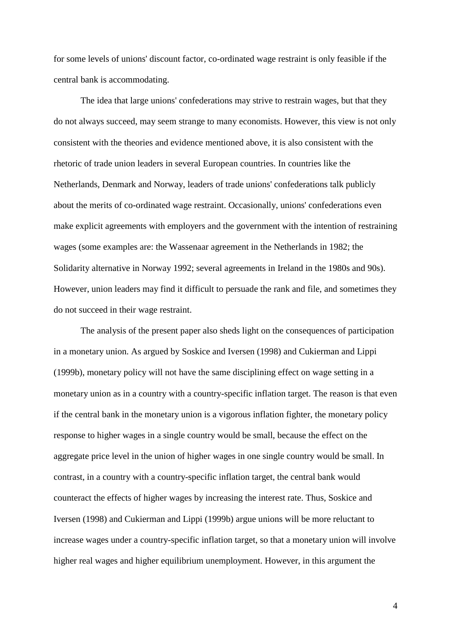for some levels of unions' discount factor, co-ordinated wage restraint is only feasible if the central bank is accommodating.

The idea that large unions' confederations may strive to restrain wages, but that they do not always succeed, may seem strange to many economists. However, this view is not only consistent with the theories and evidence mentioned above, it is also consistent with the rhetoric of trade union leaders in several European countries. In countries like the Netherlands, Denmark and Norway, leaders of trade unions' confederations talk publicly about the merits of co-ordinated wage restraint. Occasionally, unions' confederations even make explicit agreements with employers and the government with the intention of restraining wages (some examples are: the Wassenaar agreement in the Netherlands in 1982; the Solidarity alternative in Norway 1992; several agreements in Ireland in the 1980s and 90s). However, union leaders may find it difficult to persuade the rank and file, and sometimes they do not succeed in their wage restraint.

The analysis of the present paper also sheds light on the consequences of participation in a monetary union. As argued by Soskice and Iversen (1998) and Cukierman and Lippi (1999b), monetary policy will not have the same disciplining effect on wage setting in a monetary union as in a country with a country-specific inflation target. The reason is that even if the central bank in the monetary union is a vigorous inflation fighter, the monetary policy response to higher wages in a single country would be small, because the effect on the aggregate price level in the union of higher wages in one single country would be small. In contrast, in a country with a country-specific inflation target, the central bank would counteract the effects of higher wages by increasing the interest rate. Thus, Soskice and Iversen (1998) and Cukierman and Lippi (1999b) argue unions will be more reluctant to increase wages under a country-specific inflation target, so that a monetary union will involve higher real wages and higher equilibrium unemployment. However, in this argument the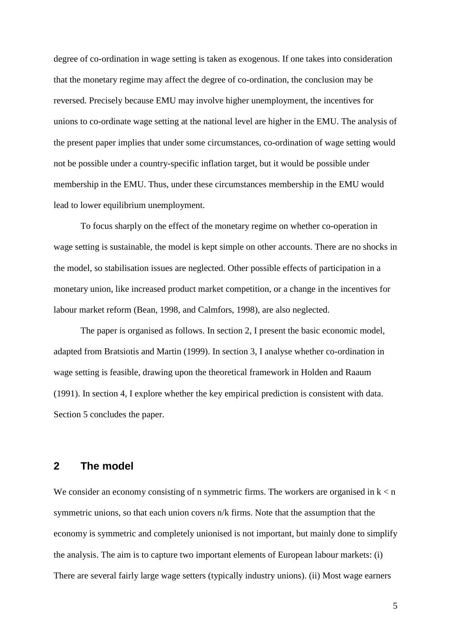degree of co-ordination in wage setting is taken as exogenous. If one takes into consideration that the monetary regime may affect the degree of co-ordination, the conclusion may be reversed. Precisely because EMU may involve higher unemployment, the incentives for unions to co-ordinate wage setting at the national level are higher in the EMU. The analysis of the present paper implies that under some circumstances, co-ordination of wage setting would not be possible under a country-specific inflation target, but it would be possible under membership in the EMU. Thus, under these circumstances membership in the EMU would lead to lower equilibrium unemployment.

To focus sharply on the effect of the monetary regime on whether co-operation in wage setting is sustainable, the model is kept simple on other accounts. There are no shocks in the model, so stabilisation issues are neglected. Other possible effects of participation in a monetary union, like increased product market competition, or a change in the incentives for labour market reform (Bean, 1998, and Calmfors, 1998), are also neglected.

The paper is organised as follows. In section 2, I present the basic economic model, adapted from Bratsiotis and Martin (1999). In section 3, I analyse whether co-ordination in wage setting is feasible, drawing upon the theoretical framework in Holden and Raaum (1991). In section 4, I explore whether the key empirical prediction is consistent with data. Section 5 concludes the paper.

## **2 The model**

We consider an economy consisting of n symmetric firms. The workers are organised in  $k < n$ symmetric unions, so that each union covers n/k firms. Note that the assumption that the economy is symmetric and completely unionised is not important, but mainly done to simplify the analysis. The aim is to capture two important elements of European labour markets: (i) There are several fairly large wage setters (typically industry unions). (ii) Most wage earners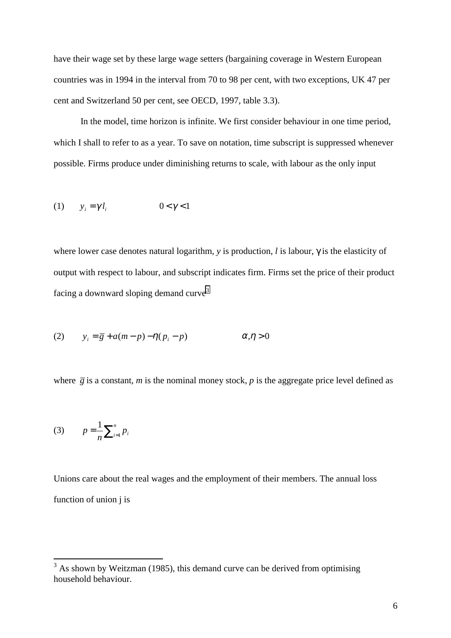have their wage set by these large wage setters (bargaining coverage in Western European countries was in 1994 in the interval from 70 to 98 per cent, with two exceptions, UK 47 per cent and Switzerland 50 per cent, see OECD, 1997, table 3.3).

In the model, time horizon is infinite. We first consider behaviour in one time period, which I shall to refer to as a year. To save on notation, time subscript is suppressed whenever possible. Firms produce under diminishing returns to scale, with labour as the only input

$$
(1) \qquad y_i = \gamma l_i \qquad \qquad 0 < \gamma < 1
$$

where lower case denotes natural logarithm, *y* is production, *l* is labour, γ is the elasticity of output with respect to labour, and subscript indicates firm. Firms set the price of their product facing a downward sloping demand curve<sup>3</sup>

(2) 
$$
y_i = \overline{g} + a(m-p) - \eta(p_i - p) \qquad \alpha, \eta > 0
$$

where  $\bar{g}$  is a constant, *m* is the nominal money stock, *p* is the aggregate price level defined as

(3) 
$$
p = \frac{1}{n} \sum_{i=1}^{n} p_i
$$

Unions care about the real wages and the employment of their members. The annual loss function of union j is

<sup>&</sup>lt;sup>3</sup> As shown by Weitzman (1985), this demand curve can be derived from optimising household behaviour.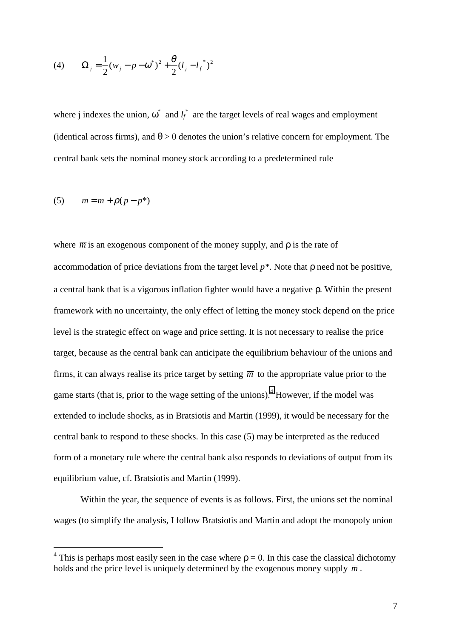(4) 
$$
\Omega_j = \frac{1}{2}(w_j - p - \omega^*)^2 + \frac{\theta}{2}(l_j - l_j^*)^2
$$

where j indexes the union,  $\omega^*$  and  $l_f^*$  are the target levels of real wages and employment (identical across firms), and  $\theta > 0$  denotes the union's relative concern for employment. The central bank sets the nominal money stock according to a predetermined rule

$$
(5) \qquad m = \overline{m} + \rho (p - p^*)
$$

 $\overline{a}$ 

where  $\overline{m}$  is an exogenous component of the money supply, and  $\rho$  is the rate of accommodation of price deviations from the target level *p\**. Note that ρ need not be positive, a central bank that is a vigorous inflation fighter would have a negative ρ. Within the present framework with no uncertainty, the only effect of letting the money stock depend on the price level is the strategic effect on wage and price setting. It is not necessary to realise the price target, because as the central bank can anticipate the equilibrium behaviour of the unions and firms, it can always realise its price target by setting  $\overline{m}$  to the appropriate value prior to the game starts (that is, prior to the wage setting of the unions).<sup>4</sup> However, if the model was extended to include shocks, as in Bratsiotis and Martin (1999), it would be necessary for the central bank to respond to these shocks. In this case (5) may be interpreted as the reduced form of a monetary rule where the central bank also responds to deviations of output from its equilibrium value, cf. Bratsiotis and Martin (1999).

Within the year, the sequence of events is as follows. First, the unions set the nominal wages (to simplify the analysis, I follow Bratsiotis and Martin and adopt the monopoly union

<sup>&</sup>lt;sup>4</sup> This is perhaps most easily seen in the case where  $p = 0$ . In this case the classical dichotomy holds and the price level is uniquely determined by the exogenous money supply  $\overline{m}$ .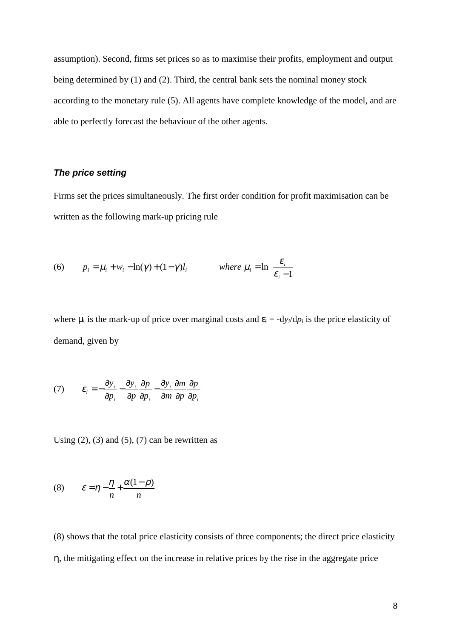assumption). Second, firms set prices so as to maximise their profits, employment and output being determined by (1) and (2). Third, the central bank sets the nominal money stock according to the monetary rule (5). All agents have complete knowledge of the model, and are able to perfectly forecast the behaviour of the other agents.

#### *The price setting*

Firms set the prices simultaneously. The first order condition for profit maximisation can be written as the following mark-up pricing rule

(6) 
$$
p_i = \mu_i + w_i - \ln(\gamma) + (1 - \gamma)l_i
$$
 where  $\mu_i = \ln\left(\frac{\varepsilon_i}{\varepsilon_i - 1}\right)$ 

where  $\mu_i$  is the mark-up of price over marginal costs and  $\varepsilon_i = -dy_i/dp_i$  is the price elasticity of demand, given by

(7) 
$$
\varepsilon_i = -\frac{\partial y_i}{\partial p_i} - \frac{\partial y_i}{\partial p} \frac{\partial p}{\partial p_i} - \frac{\partial y_i}{\partial m} \frac{\partial m}{\partial p} \frac{\partial p}{\partial p_i}
$$

Using  $(2)$ ,  $(3)$  and  $(5)$ ,  $(7)$  can be rewritten as

$$
(8) \qquad \varepsilon = \eta - \frac{\eta}{n} + \frac{\alpha(1-\rho)}{n}
$$

(8) shows that the total price elasticity consists of three components; the direct price elasticity η, the mitigating effect on the increase in relative prices by the rise in the aggregate price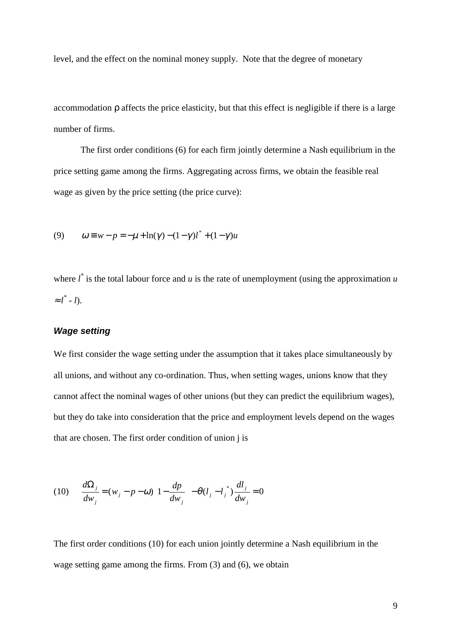level, and the effect on the nominal money supply. Note that the degree of monetary

accommodation ρ affects the price elasticity, but that this effect is negligible if there is a large number of firms.

The first order conditions (6) for each firm jointly determine a Nash equilibrium in the price setting game among the firms. Aggregating across firms, we obtain the feasible real wage as given by the price setting (the price curve):

(9) 
$$
\omega \equiv w - p = -\mu + \ln(\gamma) - (1 - \gamma)l^* + (1 - \gamma)u
$$

where  $l^*$  is the total labour force and  $u$  is the rate of unemployment (using the approximation  $u$  $\approx l^*$  - *l*).

## *Wage setting*

We first consider the wage setting under the assumption that it takes place simultaneously by all unions, and without any co-ordination. Thus, when setting wages, unions know that they cannot affect the nominal wages of other unions (but they can predict the equilibrium wages), but they do take into consideration that the price and employment levels depend on the wages that are chosen. The first order condition of union j is

$$
(10) \qquad \frac{d\Omega_j}{dw_j} = (w_j - p - \omega) \left( 1 - \frac{dp}{dw_j} \right) - \theta (l_j - l_j^*) \frac{dl_j}{dw_j} = 0
$$

The first order conditions (10) for each union jointly determine a Nash equilibrium in the wage setting game among the firms. From (3) and (6), we obtain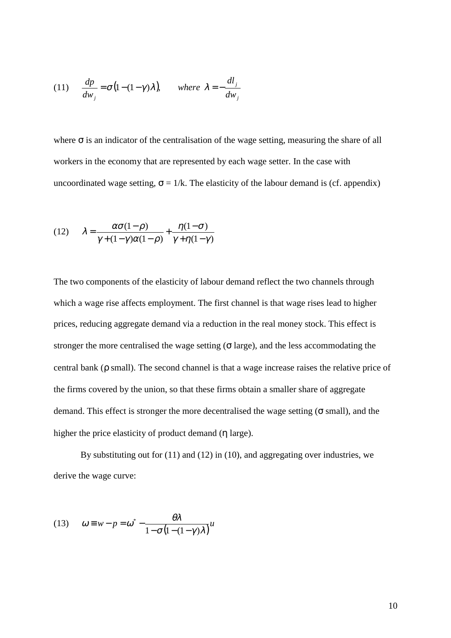(11) 
$$
\frac{dp}{dw_j} = \sigma (1 - (1 - \gamma)\lambda), \quad \text{where } \lambda = -\frac{dl_j}{dw_j}
$$

where  $\sigma$  is an indicator of the centralisation of the wage setting, measuring the share of all workers in the economy that are represented by each wage setter. In the case with uncoordinated wage setting,  $\sigma = 1/k$ . The elasticity of the labour demand is (cf. appendix)

(12) 
$$
\lambda = \frac{\alpha \sigma (1 - \rho)}{\gamma + (1 - \gamma)\alpha (1 - \rho)} + \frac{\eta(1 - \sigma)}{\gamma + \eta(1 - \gamma)}
$$

The two components of the elasticity of labour demand reflect the two channels through which a wage rise affects employment. The first channel is that wage rises lead to higher prices, reducing aggregate demand via a reduction in the real money stock. This effect is stronger the more centralised the wage setting ( $\sigma$  large), and the less accommodating the central bank (ρ small). The second channel is that a wage increase raises the relative price of the firms covered by the union, so that these firms obtain a smaller share of aggregate demand. This effect is stronger the more decentralised the wage setting ( $\sigma$  small), and the higher the price elasticity of product demand (η large).

By substituting out for (11) and (12) in (10), and aggregating over industries, we derive the wage curve:

(13) 
$$
\omega \equiv w - p = \omega^* - \frac{\theta \lambda}{1 - \sigma (1 - (1 - \gamma) \lambda)} u
$$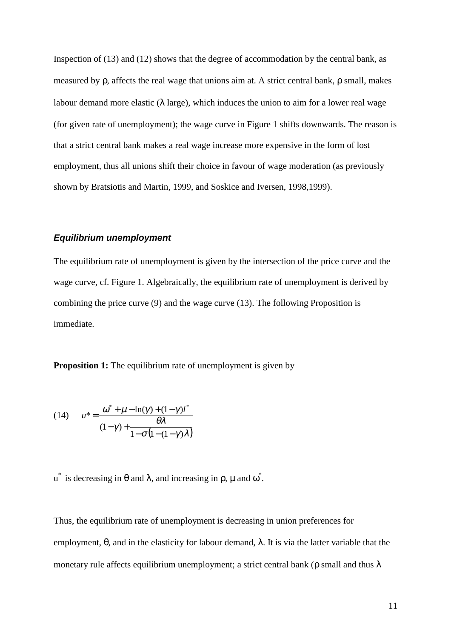Inspection of (13) and (12) shows that the degree of accommodation by the central bank, as measured by ρ, affects the real wage that unions aim at. A strict central bank, ρ small, makes labour demand more elastic ( $\lambda$  large), which induces the union to aim for a lower real wage (for given rate of unemployment); the wage curve in Figure 1 shifts downwards. The reason is that a strict central bank makes a real wage increase more expensive in the form of lost employment, thus all unions shift their choice in favour of wage moderation (as previously shown by Bratsiotis and Martin, 1999, and Soskice and Iversen, 1998,1999).

#### *Equilibrium unemployment*

The equilibrium rate of unemployment is given by the intersection of the price curve and the wage curve, cf. Figure 1. Algebraically, the equilibrium rate of unemployment is derived by combining the price curve (9) and the wage curve (13). The following Proposition is immediate.

**Proposition 1:** The equilibrium rate of unemployment is given by

(14) 
$$
u^* = \frac{\omega^* + \mu - \ln(\gamma) + (1 - \gamma)l^*}{(1 - \gamma) + \frac{\theta\lambda}{1 - \sigma(1 - (1 - \gamma)\lambda)}}
$$

u<sup>\*</sup> is decreasing in θ and λ, and increasing in ρ, μ and  $ω^*$ .

Thus, the equilibrium rate of unemployment is decreasing in union preferences for employment,  $\theta$ , and in the elasticity for labour demand,  $\lambda$ . It is via the latter variable that the monetary rule affects equilibrium unemployment; a strict central bank ( $\rho$  small and thus  $\lambda$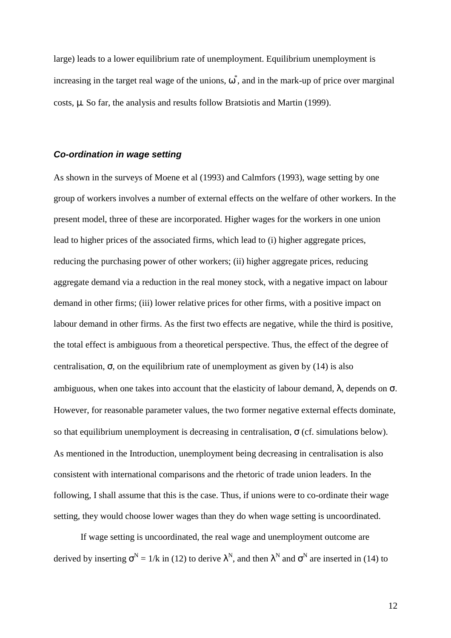large) leads to a lower equilibrium rate of unemployment. Equilibrium unemployment is increasing in the target real wage of the unions,  $\omega^*$ , and in the mark-up of price over marginal costs, µ. So far, the analysis and results follow Bratsiotis and Martin (1999).

#### *Co-ordination in wage setting*

As shown in the surveys of Moene et al (1993) and Calmfors (1993), wage setting by one group of workers involves a number of external effects on the welfare of other workers. In the present model, three of these are incorporated. Higher wages for the workers in one union lead to higher prices of the associated firms, which lead to (i) higher aggregate prices, reducing the purchasing power of other workers; (ii) higher aggregate prices, reducing aggregate demand via a reduction in the real money stock, with a negative impact on labour demand in other firms; (iii) lower relative prices for other firms, with a positive impact on labour demand in other firms. As the first two effects are negative, while the third is positive, the total effect is ambiguous from a theoretical perspective. Thus, the effect of the degree of centralisation,  $\sigma$ , on the equilibrium rate of unemployment as given by (14) is also ambiguous, when one takes into account that the elasticity of labour demand,  $\lambda$ , depends on  $\sigma$ . However, for reasonable parameter values, the two former negative external effects dominate, so that equilibrium unemployment is decreasing in centralisation,  $\sigma$  (cf. simulations below). As mentioned in the Introduction, unemployment being decreasing in centralisation is also consistent with international comparisons and the rhetoric of trade union leaders. In the following, I shall assume that this is the case. Thus, if unions were to co-ordinate their wage setting, they would choose lower wages than they do when wage setting is uncoordinated.

If wage setting is uncoordinated, the real wage and unemployment outcome are derived by inserting  $\sigma^N = 1/k$  in (12) to derive  $\lambda^N$ , and then  $\lambda^N$  and  $\sigma^N$  are inserted in (14) to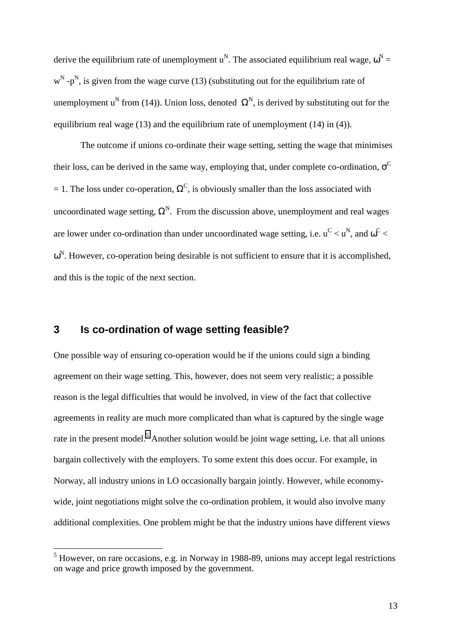derive the equilibrium rate of unemployment u<sup>N</sup>. The associated equilibrium real wage,  $\omega^N =$  $w^N$  -p<sup>N</sup>, is given from the wage curve (13) (substituting out for the equilibrium rate of unemployment u<sup>N</sup> from (14)). Union loss, denoted  $\Omega^N$ , is derived by substituting out for the equilibrium real wage (13) and the equilibrium rate of unemployment (14) in (4)).

The outcome if unions co-ordinate their wage setting, setting the wage that minimises their loss, can be derived in the same way, employing that, under complete co-ordination,  $\sigma^C$ = 1. The loss under co-operation,  $\Omega^C$ , is obviously smaller than the loss associated with uncoordinated wage setting,  $\Omega^N$ . From the discussion above, unemployment and real wages are lower under co-ordination than under uncoordinated wage setting, i.e.  $u^C < u^N$ , and  $\omega^C <$  $\omega^N$ . However, co-operation being desirable is not sufficient to ensure that it is accomplished, and this is the topic of the next section.

# **3 Is co-ordination of wage setting feasible?**

One possible way of ensuring co-operation would be if the unions could sign a binding agreement on their wage setting. This, however, does not seem very realistic; a possible reason is the legal difficulties that would be involved, in view of the fact that collective agreements in reality are much more complicated than what is captured by the single wage rate in the present model.<sup>5</sup> Another solution would be joint wage setting, i.e. that all unions bargain collectively with the employers. To some extent this does occur. For example, in Norway, all industry unions in LO occasionally bargain jointly. However, while economywide, joint negotiations might solve the co-ordination problem, it would also involve many additional complexities. One problem might be that the industry unions have different views

<sup>&</sup>lt;sup>5</sup> However, on rare occasions, e.g. in Norway in 1988-89, unions may accept legal restrictions on wage and price growth imposed by the government.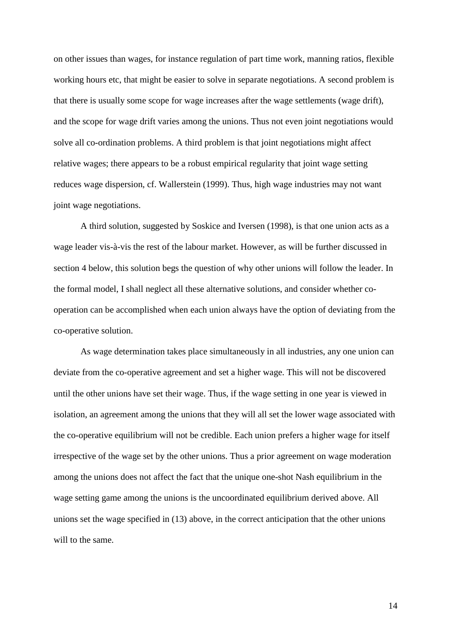on other issues than wages, for instance regulation of part time work, manning ratios, flexible working hours etc, that might be easier to solve in separate negotiations. A second problem is that there is usually some scope for wage increases after the wage settlements (wage drift), and the scope for wage drift varies among the unions. Thus not even joint negotiations would solve all co-ordination problems. A third problem is that joint negotiations might affect relative wages; there appears to be a robust empirical regularity that joint wage setting reduces wage dispersion, cf. Wallerstein (1999). Thus, high wage industries may not want joint wage negotiations.

A third solution, suggested by Soskice and Iversen (1998), is that one union acts as a wage leader vis-à-vis the rest of the labour market. However, as will be further discussed in section 4 below, this solution begs the question of why other unions will follow the leader. In the formal model, I shall neglect all these alternative solutions, and consider whether cooperation can be accomplished when each union always have the option of deviating from the co-operative solution.

As wage determination takes place simultaneously in all industries, any one union can deviate from the co-operative agreement and set a higher wage. This will not be discovered until the other unions have set their wage. Thus, if the wage setting in one year is viewed in isolation, an agreement among the unions that they will all set the lower wage associated with the co-operative equilibrium will not be credible. Each union prefers a higher wage for itself irrespective of the wage set by the other unions. Thus a prior agreement on wage moderation among the unions does not affect the fact that the unique one-shot Nash equilibrium in the wage setting game among the unions is the uncoordinated equilibrium derived above. All unions set the wage specified in (13) above, in the correct anticipation that the other unions will to the same.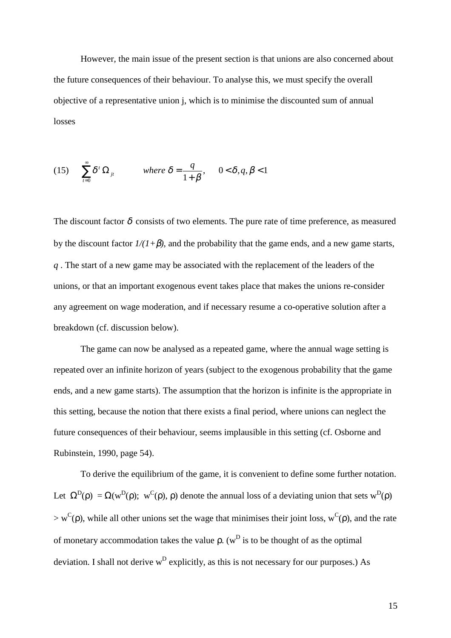However, the main issue of the present section is that unions are also concerned about the future consequences of their behaviour. To analyse this, we must specify the overall objective of a representative union j, which is to minimise the discounted sum of annual losses

(15) 
$$
\sum_{t=0}^{\infty} \delta^t \Omega_{jt} \quad \text{where } \delta = \frac{q}{1+\beta}, \quad 0 < \delta, q, \beta < 1
$$

The discount factor  $\delta$  consists of two elements. The pure rate of time preference, as measured by the discount factor  $1/(1+\beta)$ , and the probability that the game ends, and a new game starts, *q* . The start of a new game may be associated with the replacement of the leaders of the unions, or that an important exogenous event takes place that makes the unions re-consider any agreement on wage moderation, and if necessary resume a co-operative solution after a breakdown (cf. discussion below).

The game can now be analysed as a repeated game, where the annual wage setting is repeated over an infinite horizon of years (subject to the exogenous probability that the game ends, and a new game starts). The assumption that the horizon is infinite is the appropriate in this setting, because the notion that there exists a final period, where unions can neglect the future consequences of their behaviour, seems implausible in this setting (cf. Osborne and Rubinstein, 1990, page 54).

To derive the equilibrium of the game, it is convenient to define some further notation. Let  $\Omega^D(\rho) = \Omega(w^D(\rho); w^C(\rho), \rho)$  denote the annual loss of a deviating union that sets  $w^D(\rho)$  $>$  w<sup>C</sup>( $\rho$ ), while all other unions set the wage that minimises their joint loss, w<sup>C</sup>( $\rho$ ), and the rate of monetary accommodation takes the value  $\rho$ . (w<sup>D</sup> is to be thought of as the optimal deviation. I shall not derive  $w^D$  explicitly, as this is not necessary for our purposes.) As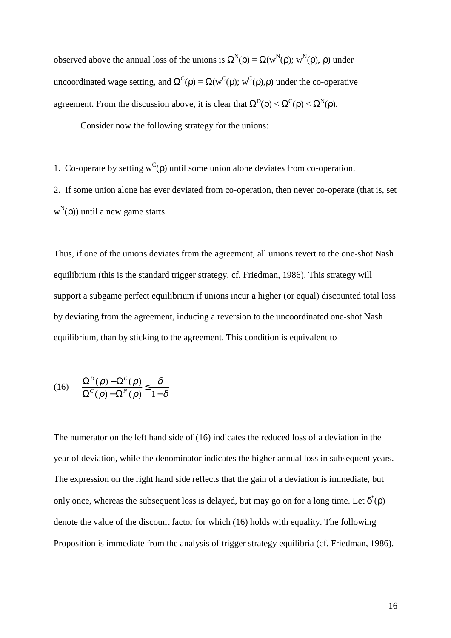observed above the annual loss of the unions is  $\Omega^{N}(\rho) = \Omega(w^{N}(\rho); w^{N}(\rho), \rho)$  under uncoordinated wage setting, and  $\Omega^C(\rho) = \Omega(w^C(\rho); w^C(\rho), \rho)$  under the co-operative agreement. From the discussion above, it is clear that  $\Omega^D(\rho) < \Omega^C(\rho) < \Omega^N(\rho)$ .

Consider now the following strategy for the unions:

1. Co-operate by setting  $w^C(\rho)$  until some union alone deviates from co-operation.

2. If some union alone has ever deviated from co-operation, then never co-operate (that is, set  $w^N(\rho)$ ) until a new game starts.

Thus, if one of the unions deviates from the agreement, all unions revert to the one-shot Nash equilibrium (this is the standard trigger strategy, cf. Friedman, 1986). This strategy will support a subgame perfect equilibrium if unions incur a higher (or equal) discounted total loss by deviating from the agreement, inducing a reversion to the uncoordinated one-shot Nash equilibrium, than by sticking to the agreement. This condition is equivalent to

$$
(16)\qquad \frac{\Omega^D(\rho) - \Omega^C(\rho)}{\Omega^C(\rho) - \Omega^N(\rho)} \le \frac{\delta}{1 - \delta}
$$

The numerator on the left hand side of (16) indicates the reduced loss of a deviation in the year of deviation, while the denominator indicates the higher annual loss in subsequent years. The expression on the right hand side reflects that the gain of a deviation is immediate, but only once, whereas the subsequent loss is delayed, but may go on for a long time. Let  $\delta^*(\rho)$ denote the value of the discount factor for which (16) holds with equality. The following Proposition is immediate from the analysis of trigger strategy equilibria (cf. Friedman, 1986).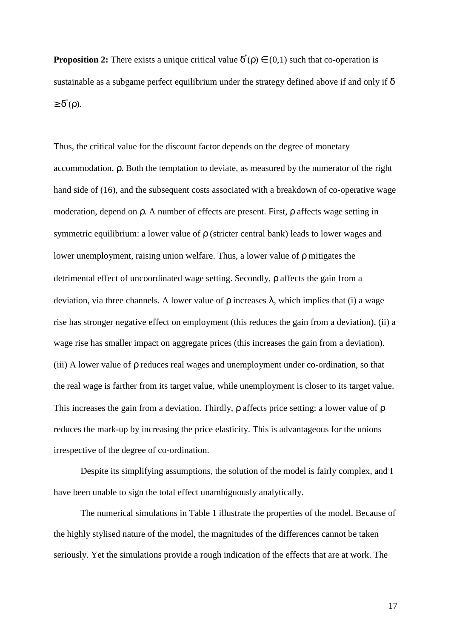**Proposition 2:** There exists a unique critical value  $\delta^*(p) \in (0,1)$  such that co-operation is sustainable as a subgame perfect equilibrium under the strategy defined above if and only if  $\delta$  $\geq \delta^*(\rho)$ .

Thus, the critical value for the discount factor depends on the degree of monetary accommodation, ρ. Both the temptation to deviate, as measured by the numerator of the right hand side of (16), and the subsequent costs associated with a breakdown of co-operative wage moderation, depend on ρ. A number of effects are present. First, ρ affects wage setting in symmetric equilibrium: a lower value of ρ (stricter central bank) leads to lower wages and lower unemployment, raising union welfare. Thus, a lower value of ρ mitigates the detrimental effect of uncoordinated wage setting. Secondly, ρ affects the gain from a deviation, via three channels. A lower value of  $ρ$  increases  $λ$ , which implies that (i) a wage rise has stronger negative effect on employment (this reduces the gain from a deviation), (ii) a wage rise has smaller impact on aggregate prices (this increases the gain from a deviation). (iii) A lower value of ρ reduces real wages and unemployment under co-ordination, so that the real wage is farther from its target value, while unemployment is closer to its target value. This increases the gain from a deviation. Thirdly, ρ affects price setting: a lower value of ρ reduces the mark-up by increasing the price elasticity. This is advantageous for the unions irrespective of the degree of co-ordination.

Despite its simplifying assumptions, the solution of the model is fairly complex, and I have been unable to sign the total effect unambiguously analytically.

The numerical simulations in Table 1 illustrate the properties of the model. Because of the highly stylised nature of the model, the magnitudes of the differences cannot be taken seriously. Yet the simulations provide a rough indication of the effects that are at work. The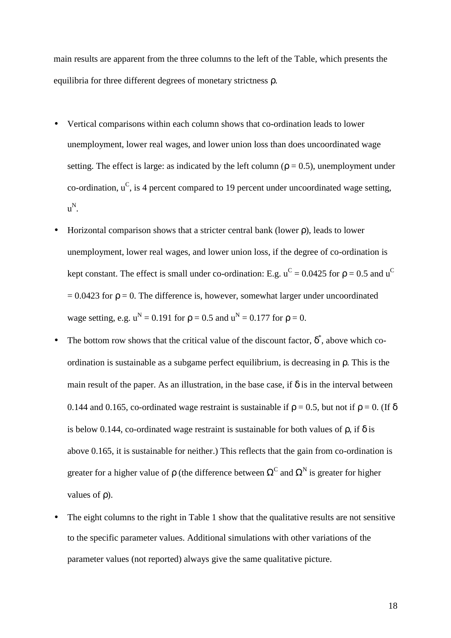main results are apparent from the three columns to the left of the Table, which presents the equilibria for three different degrees of monetary strictness ρ.

- Vertical comparisons within each column shows that co-ordination leads to lower unemployment, lower real wages, and lower union loss than does uncoordinated wage setting. The effect is large: as indicated by the left column ( $\rho = 0.5$ ), unemployment under co-ordination,  $u^C$ , is 4 percent compared to 19 percent under uncoordinated wage setting, u N.
- Horizontal comparison shows that a stricter central bank (lower ρ), leads to lower unemployment, lower real wages, and lower union loss, if the degree of co-ordination is kept constant. The effect is small under co-ordination: E.g.  $u^C = 0.0425$  for  $\rho = 0.5$  and  $u^C$  $= 0.0423$  for  $\rho = 0$ . The difference is, however, somewhat larger under uncoordinated wage setting, e.g.  $u^N = 0.191$  for  $\rho = 0.5$  and  $u^N = 0.177$  for  $\rho = 0$ .
- The bottom row shows that the critical value of the discount factor,  $\delta^*$ , above which coordination is sustainable as a subgame perfect equilibrium, is decreasing in ρ. This is the main result of the paper. As an illustration, in the base case, if  $\delta$  is in the interval between 0.144 and 0.165, co-ordinated wage restraint is sustainable if  $\rho = 0.5$ , but not if  $\rho = 0$ . (If  $\delta$ is below 0.144, co-ordinated wage restraint is sustainable for both values of  $\rho$ , if  $\delta$  is above 0.165, it is sustainable for neither.) This reflects that the gain from co-ordination is greater for a higher value of  $\rho$  (the difference between  $\Omega^C$  and  $\Omega^N$  is greater for higher values of ρ).
- The eight columns to the right in Table 1 show that the qualitative results are not sensitive to the specific parameter values. Additional simulations with other variations of the parameter values (not reported) always give the same qualitative picture.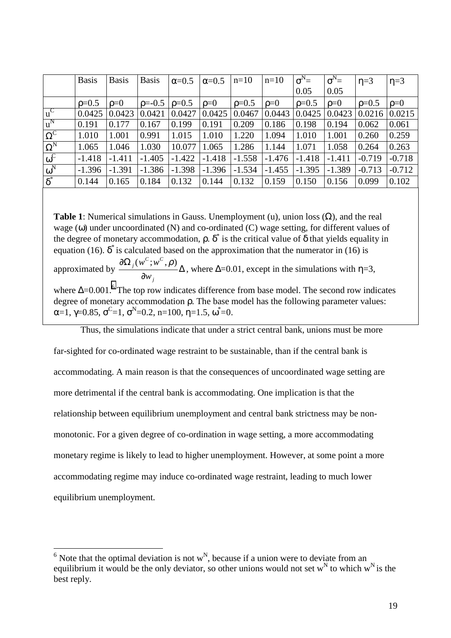|                       | <b>Basis</b> | <b>Basis</b> | <b>Basis</b> | $\alpha=0.5$ | $\alpha=0.5$ | $n=10$   | $n=10$     | $\sigma^N =$ | $\sigma^N =$ | $\eta = 3$ | $\eta = 3$ |
|-----------------------|--------------|--------------|--------------|--------------|--------------|----------|------------|--------------|--------------|------------|------------|
|                       |              |              |              |              |              |          |            | 0.05         | 0.05         |            |            |
|                       | $p=0.5$      | $\rho = 0$   | $p = -0.5$   | $p=0.5$      | $\rho = 0$   | $p=0.5$  | $\rho = 0$ | $p=0.5$      | $\rho=0$     | $p=0.5$    | $\rho = 0$ |
| $u^C$                 | 0.0425       | 0.0423       | 0.0421       | 0.0427       | 0.0425       | 0.0467   | 0.0443     | 0.0425       | 0.0423       | 0.0216     | 0.0215     |
| $u^N$                 | 0.191        | 0.177        | 0.167        | 0.199        | 0.191        | 0.209    | 0.186      | 0.198        | 0.194        | 0.062      | 0.061      |
| $\overline{\Omega^C}$ | 1.010        | 1.001        | 0.991        | 1.015        | 1.010        | 1.220    | 1.094      | 1.010        | 1.001        | 0.260      | 0.259      |
| $\Omega^N$            | 1.065        | 1.046        | 1.030        | 10.077       | 1.065        | 1.286    | 1.144      | 1.071        | 1.058        | 0.264      | 0.263      |
| $\omega^C$            | $-1.418$     | $-1.411$     | $-1.405$     | $-1.422$     | $-1.418$     | $-1.558$ | $-1.476$   | $-1.418$     | $-1.411$     | $-0.719$   | $-0.718$   |
| $\omega^N$            | $-1.396$     | $-1.391$     | $-1.386$     | $-1.398$     | $-1.396$     | $-1.534$ | $-1.455$   | $-1.395$     | $-1.389$     | $-0.713$   | $-0.712$   |
| $\delta^*$            | 0.144        | 0.165        | 0.184        | 0.132        | 0.144        | 0.132    | 0.159      | 0.150        | 0.156        | 0.099      | 0.102      |

**Table 1**: Numerical simulations in Gauss. Unemployment (u), union loss (Ω), and the real wage  $(\omega)$  under uncoordinated (N) and co-ordinated (C) wage setting, for different values of the degree of monetary accommodation,  $\rho$ .  $\delta^*$  is the critical value of  $\delta$  that yields equality in equation (16).  $\delta^*$  is calculated based on the approximation that the numerator in (16) is approximated by  $\frac{3\pi i}{2}$   $\frac{1}{2}$   $\Delta$ ∂ ∂Ω *j*  $C$  *C j w*  $\frac{(w^C; w^C, \rho)}{2}$  , where  $\Delta$ =0.01, except in the simulations with  $\eta$ =3, where  $\Delta = 0.001$ .<sup>6</sup> The top row indicates difference from base model. The second row indicates degree of monetary accommodation ρ. The base model has the following parameter values: α=1, γ=0.85, σ<sup>c</sup>=1, σ<sup>N</sup>=0.2, n=100, η=1.5, ω\*=0.

Thus, the simulations indicate that under a strict central bank, unions must be more

far-sighted for co-ordinated wage restraint to be sustainable, than if the central bank is accommodating. A main reason is that the consequences of uncoordinated wage setting are more detrimental if the central bank is accommodating. One implication is that the relationship between equilibrium unemployment and central bank strictness may be nonmonotonic. For a given degree of co-ordination in wage setting, a more accommodating monetary regime is likely to lead to higher unemployment. However, at some point a more accommodating regime may induce co-ordinated wage restraint, leading to much lower equilibrium unemployment.

 $\overline{6}$  Note that the optimal deviation is not w<sup>N</sup>, because if a union were to deviate from an equilibrium it would be the only deviator, so other unions would not set  $w^N$  to which  $w^N$  is the best reply.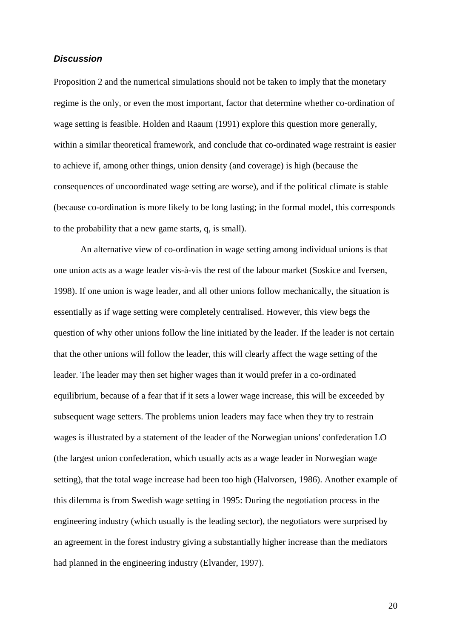#### *Discussion*

Proposition 2 and the numerical simulations should not be taken to imply that the monetary regime is the only, or even the most important, factor that determine whether co-ordination of wage setting is feasible. Holden and Raaum (1991) explore this question more generally, within a similar theoretical framework, and conclude that co-ordinated wage restraint is easier to achieve if, among other things, union density (and coverage) is high (because the consequences of uncoordinated wage setting are worse), and if the political climate is stable (because co-ordination is more likely to be long lasting; in the formal model, this corresponds to the probability that a new game starts, q, is small).

An alternative view of co-ordination in wage setting among individual unions is that one union acts as a wage leader vis-à-vis the rest of the labour market (Soskice and Iversen, 1998). If one union is wage leader, and all other unions follow mechanically, the situation is essentially as if wage setting were completely centralised. However, this view begs the question of why other unions follow the line initiated by the leader. If the leader is not certain that the other unions will follow the leader, this will clearly affect the wage setting of the leader. The leader may then set higher wages than it would prefer in a co-ordinated equilibrium, because of a fear that if it sets a lower wage increase, this will be exceeded by subsequent wage setters. The problems union leaders may face when they try to restrain wages is illustrated by a statement of the leader of the Norwegian unions' confederation LO (the largest union confederation, which usually acts as a wage leader in Norwegian wage setting), that the total wage increase had been too high (Halvorsen, 1986). Another example of this dilemma is from Swedish wage setting in 1995: During the negotiation process in the engineering industry (which usually is the leading sector), the negotiators were surprised by an agreement in the forest industry giving a substantially higher increase than the mediators had planned in the engineering industry (Elvander, 1997).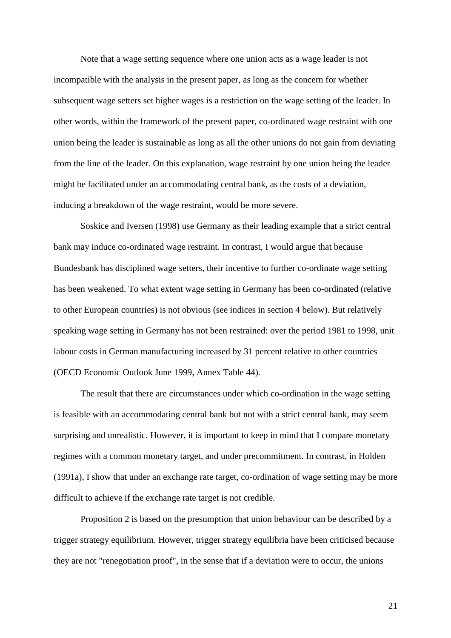Note that a wage setting sequence where one union acts as a wage leader is not incompatible with the analysis in the present paper, as long as the concern for whether subsequent wage setters set higher wages is a restriction on the wage setting of the leader. In other words, within the framework of the present paper, co-ordinated wage restraint with one union being the leader is sustainable as long as all the other unions do not gain from deviating from the line of the leader. On this explanation, wage restraint by one union being the leader might be facilitated under an accommodating central bank, as the costs of a deviation, inducing a breakdown of the wage restraint, would be more severe.

Soskice and Iversen (1998) use Germany as their leading example that a strict central bank may induce co-ordinated wage restraint. In contrast, I would argue that because Bundesbank has disciplined wage setters, their incentive to further co-ordinate wage setting has been weakened. To what extent wage setting in Germany has been co-ordinated (relative to other European countries) is not obvious (see indices in section 4 below). But relatively speaking wage setting in Germany has not been restrained: over the period 1981 to 1998, unit labour costs in German manufacturing increased by 31 percent relative to other countries (OECD Economic Outlook June 1999, Annex Table 44).

The result that there are circumstances under which co-ordination in the wage setting is feasible with an accommodating central bank but not with a strict central bank, may seem surprising and unrealistic. However, it is important to keep in mind that I compare monetary regimes with a common monetary target, and under precommitment. In contrast, in Holden (1991a), I show that under an exchange rate target, co-ordination of wage setting may be more difficult to achieve if the exchange rate target is not credible.

Proposition 2 is based on the presumption that union behaviour can be described by a trigger strategy equilibrium. However, trigger strategy equilibria have been criticised because they are not "renegotiation proof", in the sense that if a deviation were to occur, the unions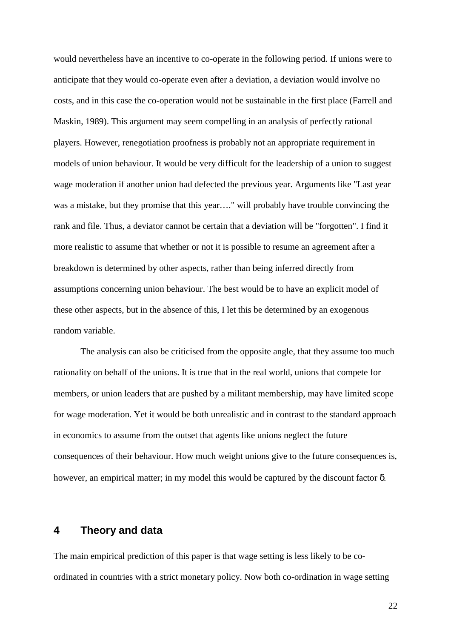would nevertheless have an incentive to co-operate in the following period. If unions were to anticipate that they would co-operate even after a deviation, a deviation would involve no costs, and in this case the co-operation would not be sustainable in the first place (Farrell and Maskin, 1989). This argument may seem compelling in an analysis of perfectly rational players. However, renegotiation proofness is probably not an appropriate requirement in models of union behaviour. It would be very difficult for the leadership of a union to suggest wage moderation if another union had defected the previous year. Arguments like "Last year was a mistake, but they promise that this year…." will probably have trouble convincing the rank and file. Thus, a deviator cannot be certain that a deviation will be "forgotten". I find it more realistic to assume that whether or not it is possible to resume an agreement after a breakdown is determined by other aspects, rather than being inferred directly from assumptions concerning union behaviour. The best would be to have an explicit model of these other aspects, but in the absence of this, I let this be determined by an exogenous random variable.

The analysis can also be criticised from the opposite angle, that they assume too much rationality on behalf of the unions. It is true that in the real world, unions that compete for members, or union leaders that are pushed by a militant membership, may have limited scope for wage moderation. Yet it would be both unrealistic and in contrast to the standard approach in economics to assume from the outset that agents like unions neglect the future consequences of their behaviour. How much weight unions give to the future consequences is, however, an empirical matter; in my model this would be captured by the discount factor δ.

## **4 Theory and data**

The main empirical prediction of this paper is that wage setting is less likely to be coordinated in countries with a strict monetary policy. Now both co-ordination in wage setting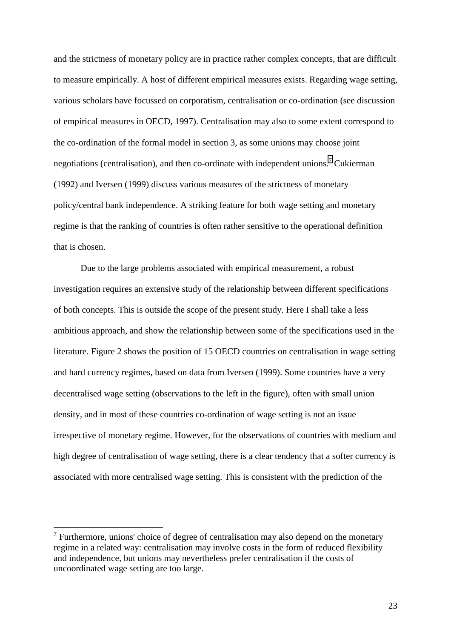and the strictness of monetary policy are in practice rather complex concepts, that are difficult to measure empirically. A host of different empirical measures exists. Regarding wage setting, various scholars have focussed on corporatism, centralisation or co-ordination (see discussion of empirical measures in OECD, 1997). Centralisation may also to some extent correspond to the co-ordination of the formal model in section 3, as some unions may choose joint negotiations (centralisation), and then co-ordinate with independent unions.<sup>7</sup> Cukierman (1992) and Iversen (1999) discuss various measures of the strictness of monetary policy/central bank independence. A striking feature for both wage setting and monetary regime is that the ranking of countries is often rather sensitive to the operational definition that is chosen.

Due to the large problems associated with empirical measurement, a robust investigation requires an extensive study of the relationship between different specifications of both concepts. This is outside the scope of the present study. Here I shall take a less ambitious approach, and show the relationship between some of the specifications used in the literature. Figure 2 shows the position of 15 OECD countries on centralisation in wage setting and hard currency regimes, based on data from Iversen (1999). Some countries have a very decentralised wage setting (observations to the left in the figure), often with small union density, and in most of these countries co-ordination of wage setting is not an issue irrespective of monetary regime. However, for the observations of countries with medium and high degree of centralisation of wage setting, there is a clear tendency that a softer currency is associated with more centralised wage setting. This is consistent with the prediction of the

 $\overline{a}$ 

 $<sup>7</sup>$  Furthermore, unions' choice of degree of centralisation may also depend on the monetary</sup> regime in a related way: centralisation may involve costs in the form of reduced flexibility and independence, but unions may nevertheless prefer centralisation if the costs of uncoordinated wage setting are too large.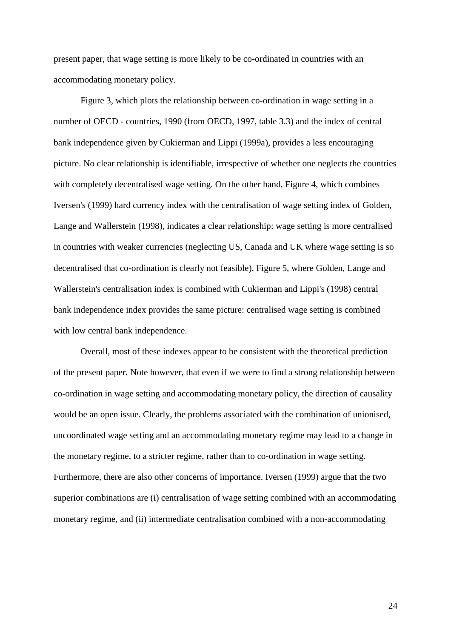present paper, that wage setting is more likely to be co-ordinated in countries with an accommodating monetary policy.

Figure 3, which plots the relationship between co-ordination in wage setting in a number of OECD - countries, 1990 (from OECD, 1997, table 3.3) and the index of central bank independence given by Cukierman and Lippi (1999a), provides a less encouraging picture. No clear relationship is identifiable, irrespective of whether one neglects the countries with completely decentralised wage setting. On the other hand, Figure 4, which combines Iversen's (1999) hard currency index with the centralisation of wage setting index of Golden, Lange and Wallerstein (1998), indicates a clear relationship: wage setting is more centralised in countries with weaker currencies (neglecting US, Canada and UK where wage setting is so decentralised that co-ordination is clearly not feasible). Figure 5, where Golden, Lange and Wallerstein's centralisation index is combined with Cukierman and Lippi's (1998) central bank independence index provides the same picture: centralised wage setting is combined with low central bank independence.

Overall, most of these indexes appear to be consistent with the theoretical prediction of the present paper. Note however, that even if we were to find a strong relationship between co-ordination in wage setting and accommodating monetary policy, the direction of causality would be an open issue. Clearly, the problems associated with the combination of unionised, uncoordinated wage setting and an accommodating monetary regime may lead to a change in the monetary regime, to a stricter regime, rather than to co-ordination in wage setting. Furthermore, there are also other concerns of importance. Iversen (1999) argue that the two superior combinations are (i) centralisation of wage setting combined with an accommodating monetary regime, and (ii) intermediate centralisation combined with a non-accommodating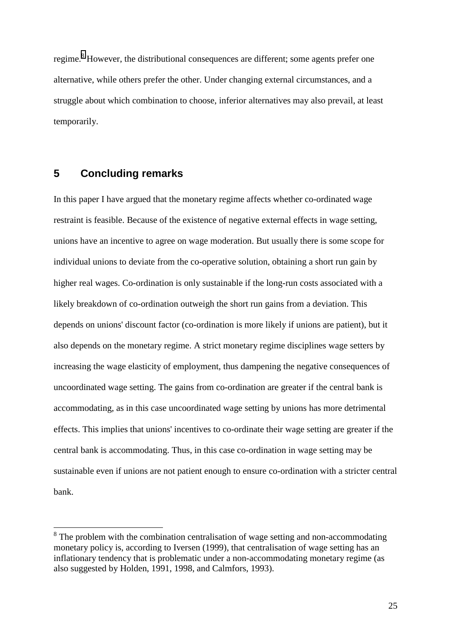regime.<sup>8</sup> However, the distributional consequences are different; some agents prefer one alternative, while others prefer the other. Under changing external circumstances, and a struggle about which combination to choose, inferior alternatives may also prevail, at least temporarily.

# **5 Concluding remarks**

In this paper I have argued that the monetary regime affects whether co-ordinated wage restraint is feasible. Because of the existence of negative external effects in wage setting, unions have an incentive to agree on wage moderation. But usually there is some scope for individual unions to deviate from the co-operative solution, obtaining a short run gain by higher real wages. Co-ordination is only sustainable if the long-run costs associated with a likely breakdown of co-ordination outweigh the short run gains from a deviation. This depends on unions' discount factor (co-ordination is more likely if unions are patient), but it also depends on the monetary regime. A strict monetary regime disciplines wage setters by increasing the wage elasticity of employment, thus dampening the negative consequences of uncoordinated wage setting. The gains from co-ordination are greater if the central bank is accommodating, as in this case uncoordinated wage setting by unions has more detrimental effects. This implies that unions' incentives to co-ordinate their wage setting are greater if the central bank is accommodating. Thus, in this case co-ordination in wage setting may be sustainable even if unions are not patient enough to ensure co-ordination with a stricter central bank.

<sup>&</sup>lt;sup>8</sup> The problem with the combination centralisation of wage setting and non-accommodating monetary policy is, according to Iversen (1999), that centralisation of wage setting has an inflationary tendency that is problematic under a non-accommodating monetary regime (as also suggested by Holden, 1991, 1998, and Calmfors, 1993).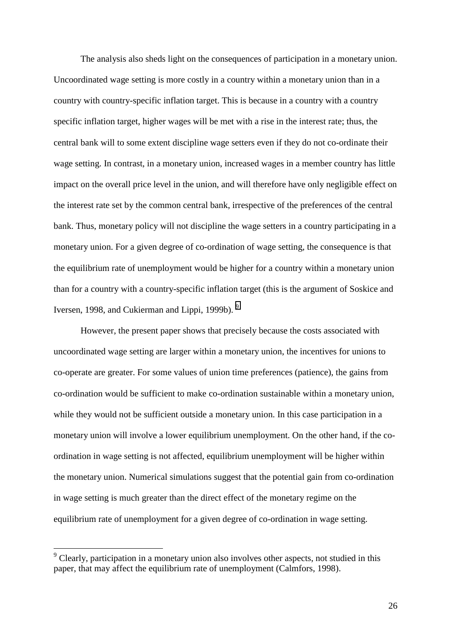The analysis also sheds light on the consequences of participation in a monetary union. Uncoordinated wage setting is more costly in a country within a monetary union than in a country with country-specific inflation target. This is because in a country with a country specific inflation target, higher wages will be met with a rise in the interest rate; thus, the central bank will to some extent discipline wage setters even if they do not co-ordinate their wage setting. In contrast, in a monetary union, increased wages in a member country has little impact on the overall price level in the union, and will therefore have only negligible effect on the interest rate set by the common central bank, irrespective of the preferences of the central bank. Thus, monetary policy will not discipline the wage setters in a country participating in a monetary union. For a given degree of co-ordination of wage setting, the consequence is that the equilibrium rate of unemployment would be higher for a country within a monetary union than for a country with a country-specific inflation target (this is the argument of Soskice and Iversen, 1998, and Cukierman and Lippi, 1999b).<sup>9</sup>

However, the present paper shows that precisely because the costs associated with uncoordinated wage setting are larger within a monetary union, the incentives for unions to co-operate are greater. For some values of union time preferences (patience), the gains from co-ordination would be sufficient to make co-ordination sustainable within a monetary union, while they would not be sufficient outside a monetary union. In this case participation in a monetary union will involve a lower equilibrium unemployment. On the other hand, if the coordination in wage setting is not affected, equilibrium unemployment will be higher within the monetary union. Numerical simulations suggest that the potential gain from co-ordination in wage setting is much greater than the direct effect of the monetary regime on the equilibrium rate of unemployment for a given degree of co-ordination in wage setting.

 $\overline{a}$ 

 $9^9$  Clearly, participation in a monetary union also involves other aspects, not studied in this paper, that may affect the equilibrium rate of unemployment (Calmfors, 1998).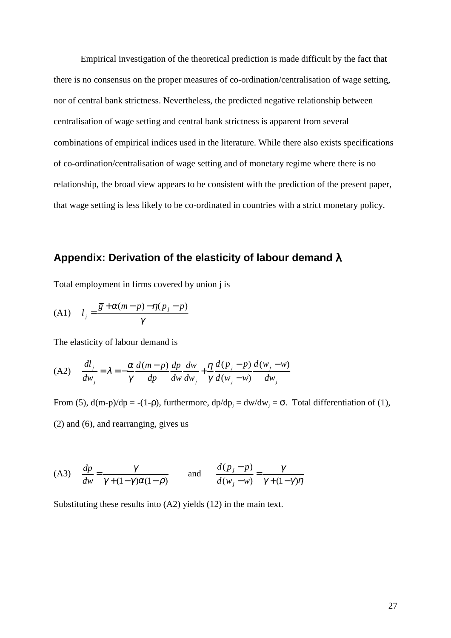Empirical investigation of the theoretical prediction is made difficult by the fact that there is no consensus on the proper measures of co-ordination/centralisation of wage setting, nor of central bank strictness. Nevertheless, the predicted negative relationship between centralisation of wage setting and central bank strictness is apparent from several combinations of empirical indices used in the literature. While there also exists specifications of co-ordination/centralisation of wage setting and of monetary regime where there is no relationship, the broad view appears to be consistent with the prediction of the present paper, that wage setting is less likely to be co-ordinated in countries with a strict monetary policy.

# **Appendix: Derivation of the elasticity of labour demand** λ

Total employment in firms covered by union j is

$$
(A1) \t l_j = \frac{\overline{g} + \alpha(m-p) - \eta(p_j - p)}{\gamma}
$$

The elasticity of labour demand is

(A2) 
$$
\frac{dl_j}{dw_j} = \lambda = -\frac{\alpha}{\gamma} \frac{d(m-p)}{dp} \frac{dp}{dw} \frac{dw}{dw_j} + \frac{\eta}{\gamma} \frac{d(p_j - p)}{d(w_j - w)} \frac{d(w_j - w)}{dw_j}
$$

From (5),  $d(m-p)/dp = -(1-p)$ , furthermore,  $dp/dp_i = dw/dw_i = \sigma$ . Total differentiation of (1), (2) and (6), and rearranging, gives us

(A3) 
$$
\frac{dp}{dw} = \frac{\gamma}{\gamma + (1 - \gamma)\alpha(1 - \rho)}
$$
 and  $\frac{d(p_j - p)}{d(w_j - w)} = \frac{\gamma}{\gamma + (1 - \gamma)\eta}$ 

Substituting these results into (A2) yields (12) in the main text.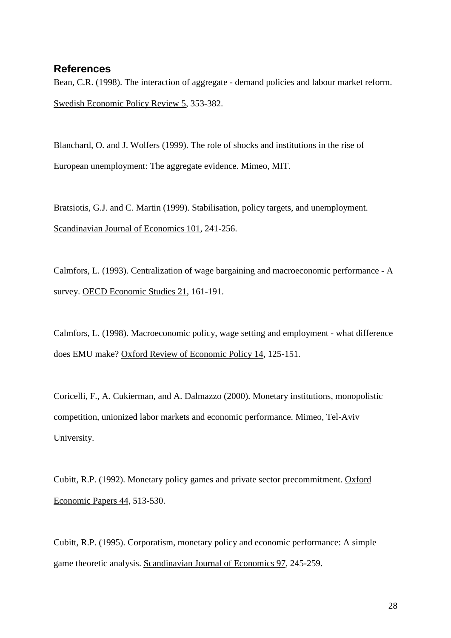## **References**

Bean, C.R. (1998). The interaction of aggregate - demand policies and labour market reform. Swedish Economic Policy Review 5, 353-382.

Blanchard, O. and J. Wolfers (1999). The role of shocks and institutions in the rise of European unemployment: The aggregate evidence. Mimeo, MIT.

Bratsiotis, G.J. and C. Martin (1999). Stabilisation, policy targets, and unemployment. Scandinavian Journal of Economics 101, 241-256.

Calmfors, L. (1993). Centralization of wage bargaining and macroeconomic performance - A survey. OECD Economic Studies 21, 161-191.

Calmfors, L. (1998). Macroeconomic policy, wage setting and employment - what difference does EMU make? Oxford Review of Economic Policy 14, 125-151.

Coricelli, F., A. Cukierman, and A. Dalmazzo (2000). Monetary institutions, monopolistic competition, unionized labor markets and economic performance. Mimeo, Tel-Aviv University.

Cubitt, R.P. (1992). Monetary policy games and private sector precommitment. Oxford Economic Papers 44, 513-530.

Cubitt, R.P. (1995). Corporatism, monetary policy and economic performance: A simple game theoretic analysis. Scandinavian Journal of Economics 97, 245-259.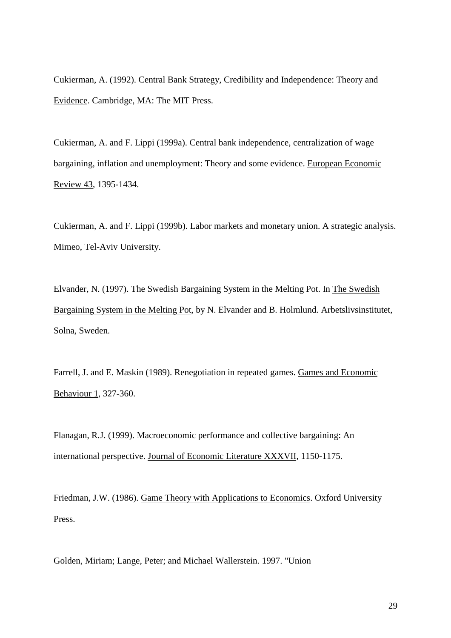Cukierman, A. (1992). Central Bank Strategy, Credibility and Independence: Theory and Evidence. Cambridge, MA: The MIT Press.

Cukierman, A. and F. Lippi (1999a). Central bank independence, centralization of wage bargaining, inflation and unemployment: Theory and some evidence. European Economic Review 43, 1395-1434.

Cukierman, A. and F. Lippi (1999b). Labor markets and monetary union. A strategic analysis. Mimeo, Tel-Aviv University.

Elvander, N. (1997). The Swedish Bargaining System in the Melting Pot. In The Swedish Bargaining System in the Melting Pot, by N. Elvander and B. Holmlund. Arbetslivsinstitutet, Solna, Sweden.

Farrell, J. and E. Maskin (1989). Renegotiation in repeated games. Games and Economic Behaviour 1, 327-360.

Flanagan, R.J. (1999). Macroeconomic performance and collective bargaining: An international perspective. Journal of Economic Literature XXXVII, 1150-1175.

Friedman, J.W. (1986). Game Theory with Applications to Economics. Oxford University Press.

Golden, Miriam; Lange, Peter; and Michael Wallerstein. 1997. "Union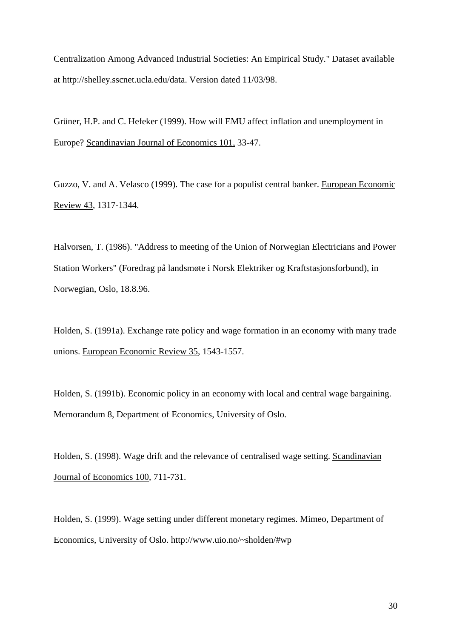Centralization Among Advanced Industrial Societies: An Empirical Study." Dataset available at http://shelley.sscnet.ucla.edu/data. Version dated 11/03/98.

Grüner, H.P. and C. Hefeker (1999). How will EMU affect inflation and unemployment in Europe? Scandinavian Journal of Economics 101, 33-47.

Guzzo, V. and A. Velasco (1999). The case for a populist central banker. European Economic Review 43, 1317-1344.

Halvorsen, T. (1986). "Address to meeting of the Union of Norwegian Electricians and Power Station Workers" (Foredrag på landsmøte i Norsk Elektriker og Kraftstasjonsforbund), in Norwegian, Oslo, 18.8.96.

Holden, S. (1991a). Exchange rate policy and wage formation in an economy with many trade unions. European Economic Review 35, 1543-1557.

Holden, S. (1991b). Economic policy in an economy with local and central wage bargaining. Memorandum 8, Department of Economics, University of Oslo.

Holden, S. (1998). Wage drift and the relevance of centralised wage setting. Scandinavian Journal of Economics 100, 711-731.

Holden, S. (1999). Wage setting under different monetary regimes. Mimeo, Department of Economics, University of Oslo. http://www.uio.no/~sholden/#wp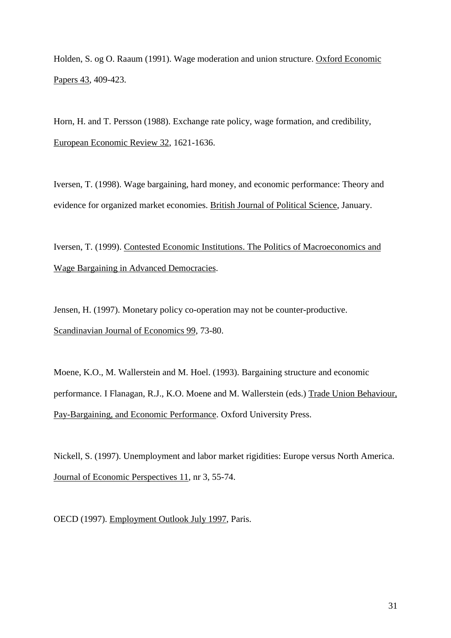Holden, S. og O. Raaum (1991). Wage moderation and union structure. Oxford Economic Papers 43, 409-423.

Horn, H. and T. Persson (1988). Exchange rate policy, wage formation, and credibility, European Economic Review 32, 1621-1636.

Iversen, T. (1998). Wage bargaining, hard money, and economic performance: Theory and evidence for organized market economies. British Journal of Political Science, January.

Iversen, T. (1999). Contested Economic Institutions. The Politics of Macroeconomics and Wage Bargaining in Advanced Democracies.

Jensen, H. (1997). Monetary policy co-operation may not be counter-productive. Scandinavian Journal of Economics 99, 73-80.

Moene, K.O., M. Wallerstein and M. Hoel. (1993). Bargaining structure and economic performance. I Flanagan, R.J., K.O. Moene and M. Wallerstein (eds.) Trade Union Behaviour, Pay-Bargaining, and Economic Performance. Oxford University Press.

Nickell, S. (1997). Unemployment and labor market rigidities: Europe versus North America. Journal of Economic Perspectives 11, nr 3, 55-74.

OECD (1997). Employment Outlook July 1997, Paris.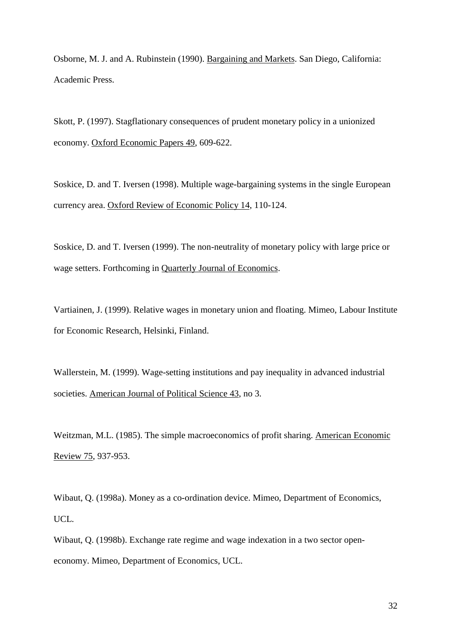Osborne, M. J. and A. Rubinstein (1990). Bargaining and Markets. San Diego, California: Academic Press.

Skott, P. (1997). Stagflationary consequences of prudent monetary policy in a unionized economy. Oxford Economic Papers 49, 609-622.

Soskice, D. and T. Iversen (1998). Multiple wage-bargaining systems in the single European currency area. Oxford Review of Economic Policy 14, 110-124.

Soskice, D. and T. Iversen (1999). The non-neutrality of monetary policy with large price or wage setters. Forthcoming in Quarterly Journal of Economics.

Vartiainen, J. (1999). Relative wages in monetary union and floating. Mimeo, Labour Institute for Economic Research, Helsinki, Finland.

Wallerstein, M. (1999). Wage-setting institutions and pay inequality in advanced industrial societies. American Journal of Political Science 43, no 3.

Weitzman, M.L. (1985). The simple macroeconomics of profit sharing. American Economic Review 75, 937-953.

Wibaut, Q. (1998a). Money as a co-ordination device. Mimeo, Department of Economics, UCL.

Wibaut, Q. (1998b). Exchange rate regime and wage indexation in a two sector openeconomy. Mimeo, Department of Economics, UCL.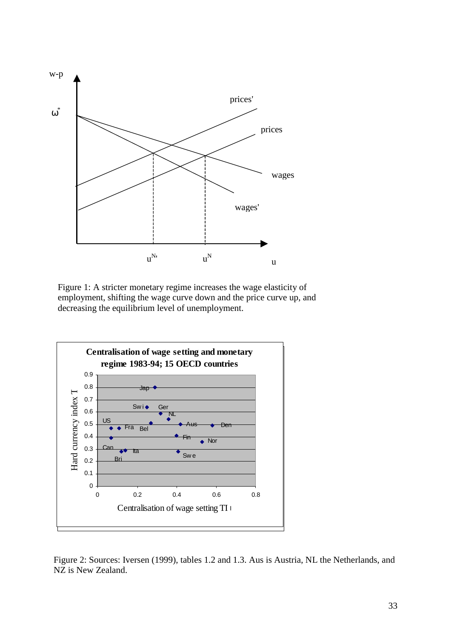

Figure 1: A stricter monetary regime increases the wage elasticity of employment, shifting the wage curve down and the price curve up, and decreasing the equilibrium level of unemployment.



Figure 2: Sources: Iversen (1999), tables 1.2 and 1.3. Aus is Austria, NL the Netherlands, and NZ is New Zealand.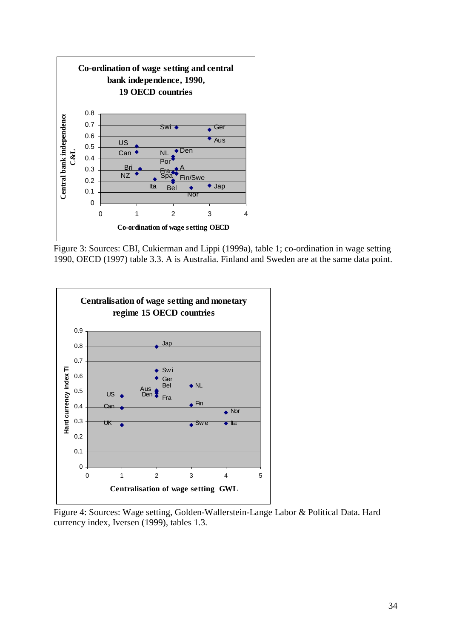

Figure 3: Sources: CBI, Cukierman and Lippi (1999a), table 1; co-ordination in wage setting 1990, OECD (1997) table 3.3. A is Australia. Finland and Sweden are at the same data point.



Figure 4: Sources: Wage setting, Golden-Wallerstein-Lange Labor & Political Data. Hard currency index, Iversen (1999), tables 1.3.